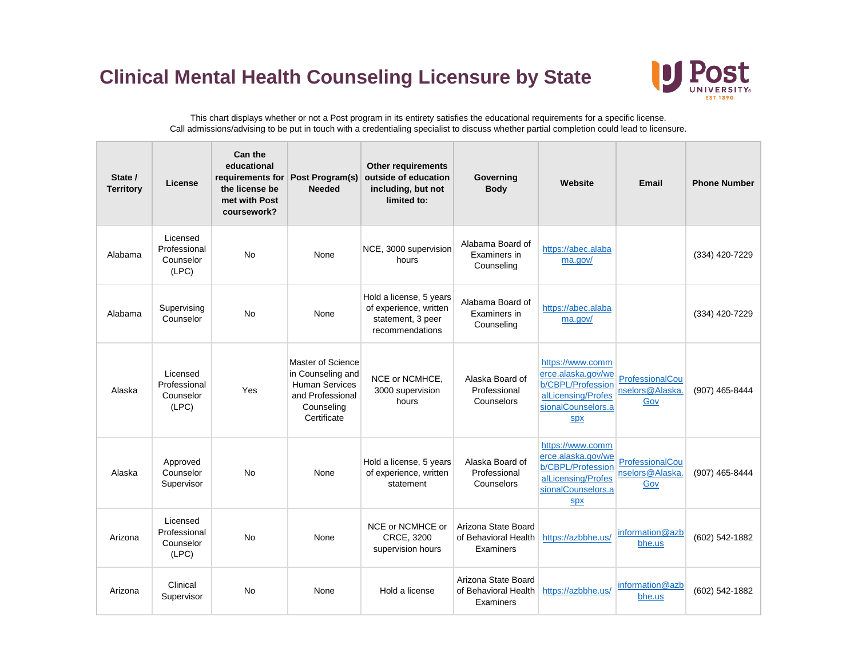## **Clinical Mental Health Counseling Licensure by State**



This chart displays whether or not a Post program in its entirety satisfies the educational requirements for a specific license. Call admissions/advising to be put in touch with a credentialing specialist to discuss whether partial completion could lead to licensure.

| State /<br><b>Territory</b> | License                                        | Can the<br>educational<br>the license be<br>met with Post<br>coursework? | requirements for Post Program(s)<br><b>Needed</b>                                                                | <b>Other requirements</b><br>outside of education<br>including, but not<br>limited to:    | Governing<br><b>Body</b>                                 | Website                                                                                                               | Email                                     | <b>Phone Number</b> |
|-----------------------------|------------------------------------------------|--------------------------------------------------------------------------|------------------------------------------------------------------------------------------------------------------|-------------------------------------------------------------------------------------------|----------------------------------------------------------|-----------------------------------------------------------------------------------------------------------------------|-------------------------------------------|---------------------|
| Alabama                     | Licensed<br>Professional<br>Counselor<br>(LPC) | <b>No</b>                                                                | None                                                                                                             | NCE, 3000 supervision<br>hours                                                            | Alabama Board of<br>Examiners in<br>Counseling           | https://abec.alaba<br>ma.gov/                                                                                         |                                           | (334) 420-7229      |
| Alabama                     | Supervising<br>Counselor                       | <b>No</b>                                                                | None                                                                                                             | Hold a license, 5 years<br>of experience, written<br>statement, 3 peer<br>recommendations | Alabama Board of<br>Examiners in<br>Counseling           | https://abec.alaba<br>ma.gov/                                                                                         |                                           | (334) 420-7229      |
| Alaska                      | Licensed<br>Professional<br>Counselor<br>(LPC) | Yes                                                                      | Master of Science<br>in Counseling and<br><b>Human Services</b><br>and Professional<br>Counseling<br>Certificate | NCE or NCMHCE.<br>3000 supervision<br>hours                                               | Alaska Board of<br>Professional<br>Counselors            | https://www.comm<br>erce.alaska.gov/we<br>b/CBPL/Profession<br>alLicensing/Profes<br>sionalCounselors.a<br><b>Spx</b> | ProfessionalCou<br>nselors@Alaska.<br>Gov | (907) 465-8444      |
| Alaska                      | Approved<br>Counselor<br>Supervisor            | <b>No</b>                                                                | None                                                                                                             | Hold a license, 5 years<br>of experience, written<br>statement                            | Alaska Board of<br>Professional<br>Counselors            | https://www.comm<br>erce.alaska.gov/we<br>b/CBPL/Profession<br>alLicensing/Profes<br>sionalCounselors.a<br><b>Spx</b> | ProfessionalCou<br>nselors@Alaska.<br>Gov | (907) 465-8444      |
| Arizona                     | Licensed<br>Professional<br>Counselor<br>(LPC) | No                                                                       | None                                                                                                             | NCE or NCMHCE or<br>CRCE, 3200<br>supervision hours                                       | Arizona State Board<br>of Behavioral Health<br>Examiners | https://azbbhe.us/                                                                                                    | information@azb<br>bhe.us                 | (602) 542-1882      |
| Arizona                     | Clinical<br>Supervisor                         | <b>No</b>                                                                | None                                                                                                             | Hold a license                                                                            | Arizona State Board<br>of Behavioral Health<br>Examiners | https://azbbhe.us/                                                                                                    | information@azb<br>bhe.us                 | (602) 542-1882      |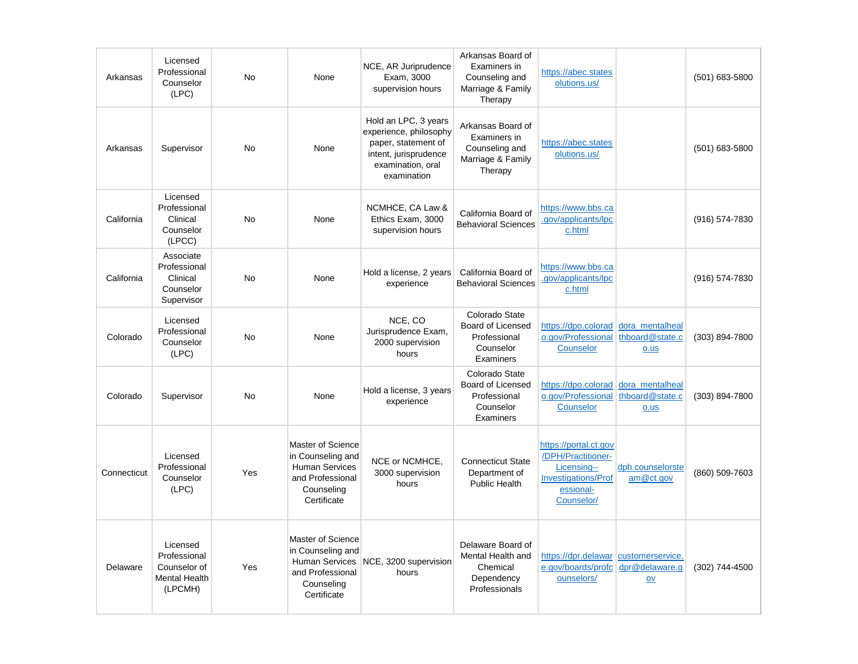| Arkansas    | Licensed<br>Professional<br>Counselor<br>(LPC)                              | No        | None                                                                                                             | NCE, AR Juriprudence<br>Exam, 3000<br>supervision hours                                                                            | Arkansas Board of<br>Examiners in<br>Counseling and<br>Marriage & Family<br>Therapy | https://abec.states<br>olutions.us/                                                                                 |                                               | (501) 683-5800 |
|-------------|-----------------------------------------------------------------------------|-----------|------------------------------------------------------------------------------------------------------------------|------------------------------------------------------------------------------------------------------------------------------------|-------------------------------------------------------------------------------------|---------------------------------------------------------------------------------------------------------------------|-----------------------------------------------|----------------|
| Arkansas    | Supervisor                                                                  | <b>No</b> | None                                                                                                             | Hold an LPC, 3 years<br>experience, philosophy<br>paper, statement of<br>intent, jurisprudence<br>examination, oral<br>examination | Arkansas Board of<br>Examiners in<br>Counseling and<br>Marriage & Family<br>Therapy | https://abec.states<br>olutions.us/                                                                                 |                                               | (501) 683-5800 |
| California  | Licensed<br>Professional<br>Clinical<br>Counselor<br>(LPCC)                 | <b>No</b> | None                                                                                                             | NCMHCE, CA Law &<br>Ethics Exam, 3000<br>supervision hours                                                                         | California Board of<br><b>Behavioral Sciences</b>                                   | https://www.bbs.ca<br>.gov/applicants/lpc<br>c.html                                                                 |                                               | (916) 574-7830 |
| California  | Associate<br>Professional<br>Clinical<br>Counselor<br>Supervisor            | <b>No</b> | None                                                                                                             | Hold a license, 2 years<br>experience                                                                                              | California Board of<br><b>Behavioral Sciences</b>                                   | https://www.bbs.ca<br>.gov/applicants/lpc<br>c.html                                                                 |                                               | (916) 574-7830 |
| Colorado    | Licensed<br>Professional<br>Counselor<br>(LPC)                              | No        | None                                                                                                             | NCE, CO<br>Jurisprudence Exam,<br>2000 supervision<br>hours                                                                        | Colorado State<br>Board of Licensed<br>Professional<br>Counselor<br>Examiners       | https://dpo.colorad<br>o.gov/Professional<br>Counselor                                                              | dora_mentalheal<br>thboard@state.c<br>$0.$ us | (303) 894-7800 |
| Colorado    | Supervisor                                                                  | <b>No</b> | None                                                                                                             | Hold a license, 3 years<br>experience                                                                                              | Colorado State<br>Board of Licensed<br>Professional<br>Counselor<br>Examiners       | https://dpo.colorad<br>o.gov/Professional<br>Counselor                                                              | dora mentalheal<br>thboard@state.c<br>o.us    | (303) 894-7800 |
| Connecticut | Licensed<br>Professional<br>Counselor<br>(LPC)                              | Yes       | Master of Science<br>in Counseling and<br><b>Human Services</b><br>and Professional<br>Counseling<br>Certificate | NCE or NCMHCE,<br>3000 supervision<br>hours                                                                                        | <b>Connecticut State</b><br>Department of<br>Public Health                          | https://portal.ct.gov<br>/DPH/Practitioner-<br>Licensing--<br><b>Investigations/Prof</b><br>essional-<br>Counselor/ | dph.counselorste<br>am@ct.gov                 | (860) 509-7603 |
| Delaware    | Licensed<br>Professional<br>Counselor of<br><b>Mental Health</b><br>(LPCMH) | Yes       | Master of Science<br>in Counseling and<br>Human Services<br>and Professional<br>Counseling<br>Certificate        | NCE, 3200 supervision<br>hours                                                                                                     | Delaware Board of<br>Mental Health and<br>Chemical<br>Dependency<br>Professionals   | https://dpr.delawar customerservice.<br>e.gov/boards/profc<br>ounselors/                                            | dpr@delaware.g<br>$\mathsf{O}\mathsf{V}$      | (302) 744-4500 |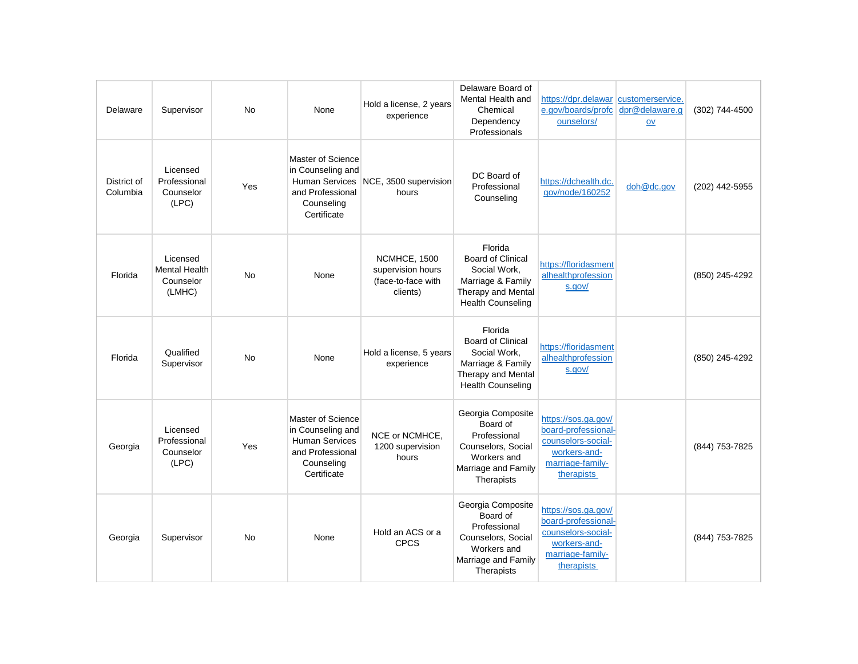| Delaware                | Supervisor                                              | <b>No</b> | None                                                                                                             | Hold a license, 2 years<br>experience                               | Delaware Board of<br>Mental Health and<br>Chemical<br>Dependency<br>Professionals                                                 | https://dpr.delawar customerservice.<br>e.gov/boards/profc<br>ounselors/                                           | dpr@delaware.q<br>$ov$ | (302) 744-4500 |
|-------------------------|---------------------------------------------------------|-----------|------------------------------------------------------------------------------------------------------------------|---------------------------------------------------------------------|-----------------------------------------------------------------------------------------------------------------------------------|--------------------------------------------------------------------------------------------------------------------|------------------------|----------------|
| District of<br>Columbia | Licensed<br>Professional<br>Counselor<br>(LPC)          | Yes       | Master of Science<br>in Counseling and<br>and Professional<br>Counseling<br>Certificate                          | Human Services NCE, 3500 supervision<br>hours                       | DC Board of<br>Professional<br>Counseling                                                                                         | https://dchealth.dc.<br>gov/node/160252                                                                            | doh@dc.gov             | (202) 442-5955 |
| Florida                 | Licensed<br><b>Mental Health</b><br>Counselor<br>(LMHC) | No        | None                                                                                                             | NCMHCE, 1500<br>supervision hours<br>(face-to-face with<br>clients) | Florida<br><b>Board of Clinical</b><br>Social Work,<br>Marriage & Family<br><b>Therapy and Mental</b><br><b>Health Counseling</b> | https://floridasment<br>alhealthprofession<br>s.gov/                                                               |                        | (850) 245-4292 |
| Florida                 | Qualified<br>Supervisor                                 | <b>No</b> | None                                                                                                             | Hold a license, 5 years<br>experience                               | Florida<br><b>Board of Clinical</b><br>Social Work,<br>Marriage & Family<br>Therapy and Mental<br><b>Health Counseling</b>        | https://floridasment<br>alhealthprofession<br>s.gov/                                                               |                        | (850) 245-4292 |
| Georgia                 | Licensed<br>Professional<br>Counselor<br>(LPC)          | Yes       | Master of Science<br>in Counseling and<br><b>Human Services</b><br>and Professional<br>Counseling<br>Certificate | NCE or NCMHCE,<br>1200 supervision<br>hours                         | Georgia Composite<br>Board of<br>Professional<br>Counselors, Social<br>Workers and<br>Marriage and Family<br>Therapists           | https://sos.ga.gov/<br>board-professional-<br>counselors-social-<br>workers-and-<br>marriage-family-<br>therapists |                        | (844) 753-7825 |
| Georgia                 | Supervisor                                              | <b>No</b> | None                                                                                                             | Hold an ACS or a<br><b>CPCS</b>                                     | Georgia Composite<br>Board of<br>Professional<br>Counselors, Social<br>Workers and<br>Marriage and Family<br>Therapists           | https://sos.ga.gov/<br>board-professional-<br>counselors-social-<br>workers-and-<br>marriage-family-<br>therapists |                        | (844) 753-7825 |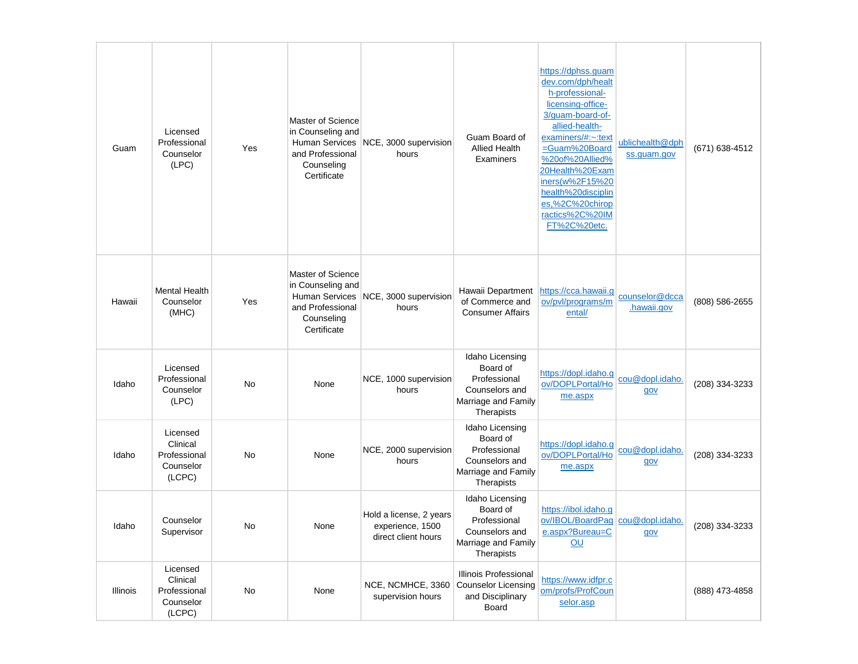| Guam     | Licensed<br>Professional<br>Counselor<br>(LPC)              | Yes | Master of Science<br>in Counseling and<br>and Professional<br>Counseling<br>Certificate | Human Services NCE, 3000 supervision<br>hours                      | Guam Board of<br><b>Allied Health</b><br>Examiners                                                 | https://dphss.quam<br>dev.com/dph/healt<br>h-professional-<br>licensing-office-<br>3/guam-board-of-<br>allied-health-<br>examiners/#:~:text<br>=Guam%20Board<br>%20of%20Allied%<br>20Health%20Exam<br>iners(w%2F15%20<br>health%20disciplin<br>es,%2C%20chirop<br>ractics%2C%20IM<br>FT%2C%20etc. | ublichealth@dph<br>ss.guam.gov | (671) 638-4512 |
|----------|-------------------------------------------------------------|-----|-----------------------------------------------------------------------------------------|--------------------------------------------------------------------|----------------------------------------------------------------------------------------------------|---------------------------------------------------------------------------------------------------------------------------------------------------------------------------------------------------------------------------------------------------------------------------------------------------|--------------------------------|----------------|
| Hawaii   | <b>Mental Health</b><br>Counselor<br>(MHC)                  | Yes | Master of Science<br>in Counseling and<br>and Professional<br>Counseling<br>Certificate | Human Services NCE, 3000 supervision<br>hours                      | Hawaii Department<br>of Commerce and<br><b>Consumer Affairs</b>                                    | https://cca.hawaii.q<br>ov/pvl/programs/m<br>ental/                                                                                                                                                                                                                                               | counselor@dcca<br>.hawaii.gov  | (808) 586-2655 |
| Idaho    | Licensed<br>Professional<br>Counselor<br>(LPC)              | No  | None                                                                                    | NCE, 1000 supervision<br>hours                                     | Idaho Licensing<br>Board of<br>Professional<br>Counselors and<br>Marriage and Family<br>Therapists | https://dopl.idaho.g<br>ov/DOPLPortal/Ho<br>me.aspx                                                                                                                                                                                                                                               | cou@dopl.idaho.<br>gov         | (208) 334-3233 |
| Idaho    | Licensed<br>Clinical<br>Professional<br>Counselor<br>(LCPC) | No  | None                                                                                    | NCE, 2000 supervision<br>hours                                     | Idaho Licensing<br>Board of<br>Professional<br>Counselors and<br>Marriage and Family<br>Therapists | https://dopl.idaho.g<br>ov/DOPLPortal/Ho<br>me.aspx                                                                                                                                                                                                                                               | cou@dopl.idaho.<br>gov         | (208) 334-3233 |
| Idaho    | Counselor<br>Supervisor                                     | No  | None                                                                                    | Hold a license, 2 years<br>experience, 1500<br>direct client hours | Idaho Licensing<br>Board of<br>Professional<br>Counselors and<br>Marriage and Family<br>Therapists | https://ibol.idaho.g<br>ov/IBQL/BoardPag cou@dopl.idaho.<br>e.aspx?Bureau=C<br>OU                                                                                                                                                                                                                 | gov                            | (208) 334-3233 |
| Illinois | Licensed<br>Clinical<br>Professional<br>Counselor<br>(LCPC) | No  | None                                                                                    | NCE, NCMHCE, 3360<br>supervision hours                             | Illinois Professional<br><b>Counselor Licensing</b><br>and Disciplinary<br>Board                   | https://www.idfpr.c<br>om/profs/ProfCoun<br>selor.asp                                                                                                                                                                                                                                             |                                | (888) 473-4858 |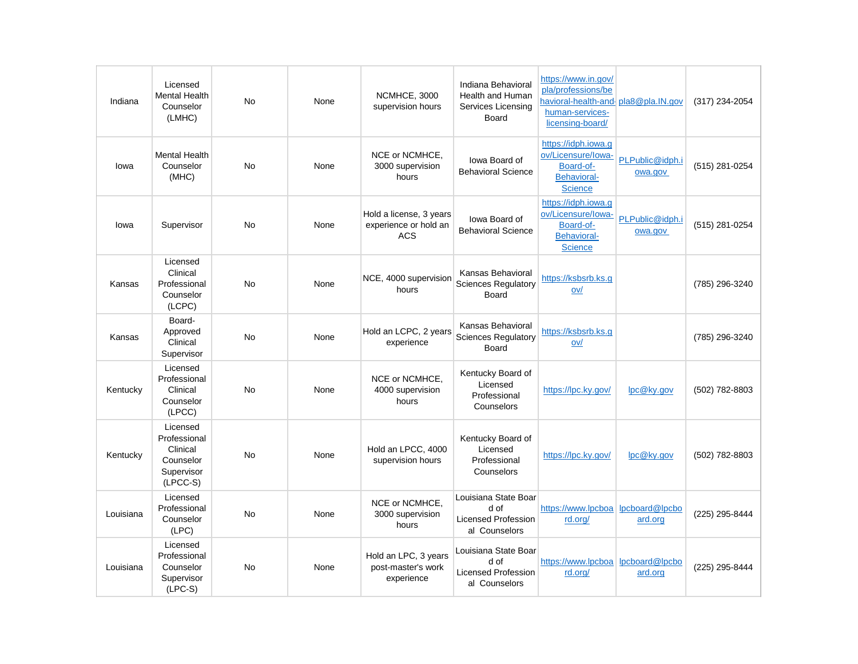| Indiana   | Licensed<br><b>Mental Health</b><br>Counselor<br>(LMHC)                       | <b>No</b> | None | NCMHCE, 3000<br>supervision hours                              | Indiana Behavioral<br>Health and Human<br>Services Licensing<br>Board       | https://www.in.gov/<br>pla/professions/be<br>havioral-health-and pla8@pla.IN.gov<br>human-services-<br>licensing-board/ |                            | (317) 234-2054 |
|-----------|-------------------------------------------------------------------------------|-----------|------|----------------------------------------------------------------|-----------------------------------------------------------------------------|-------------------------------------------------------------------------------------------------------------------------|----------------------------|----------------|
| Iowa      | <b>Mental Health</b><br>Counselor<br>(MHC)                                    | <b>No</b> | None | NCE or NCMHCE,<br>3000 supervision<br>hours                    | lowa Board of<br><b>Behavioral Science</b>                                  | https://idph.iowa.g<br>ov/Licensure/lowa-<br>Board-of-<br><b>Behavioral-</b><br><b>Science</b>                          | PLPublic@idph.i<br>owa.gov | (515) 281-0254 |
| lowa      | Supervisor                                                                    | <b>No</b> | None | Hold a license, 3 years<br>experience or hold an<br><b>ACS</b> | lowa Board of<br><b>Behavioral Science</b>                                  | https://idph.iowa.g<br>ov/Licensure/Iowa-<br>Board-of-<br><b>Behavioral-</b><br><b>Science</b>                          | PLPublic@idph.i<br>owa.gov | (515) 281-0254 |
| Kansas    | Licensed<br>Clinical<br>Professional<br>Counselor<br>(LCPC)                   | <b>No</b> | None | NCE, 4000 supervision<br>hours                                 | Kansas Behavioral<br><b>Sciences Regulatory</b><br>Board                    | https://ksbsrb.ks.g<br>ov/                                                                                              |                            | (785) 296-3240 |
| Kansas    | Board-<br>Approved<br>Clinical<br>Supervisor                                  | <b>No</b> | None | Hold an LCPC, 2 years<br>experience                            | Kansas Behavioral<br><b>Sciences Regulatory</b><br>Board                    | https://ksbsrb.ks.g<br>ov/                                                                                              |                            | (785) 296-3240 |
| Kentucky  | Licensed<br>Professional<br>Clinical<br>Counselor<br>(LPCC)                   | <b>No</b> | None | NCE or NCMHCE,<br>4000 supervision<br>hours                    | Kentucky Board of<br>Licensed<br>Professional<br>Counselors                 | https://lpc.ky.gov/                                                                                                     | lpc@ky.gov                 | (502) 782-8803 |
| Kentucky  | Licensed<br>Professional<br>Clinical<br>Counselor<br>Supervisor<br>$(LPCC-S)$ | No        | None | Hold an LPCC, 4000<br>supervision hours                        | Kentucky Board of<br>Licensed<br>Professional<br>Counselors                 | https://lpc.ky.gov/                                                                                                     | lpc@ky.gov                 | (502) 782-8803 |
| Louisiana | Licensed<br>Professional<br>Counselor<br>(LPC)                                | <b>No</b> | None | NCE or NCMHCE.<br>3000 supervision<br>hours                    | Louisiana State Boar<br>d of<br><b>Licensed Profession</b><br>al Counselors | https://www.lpcboa lpcboard@lpcbo<br>rd.org/                                                                            | ard.org                    | (225) 295-8444 |
| Louisiana | Licensed<br>Professional<br>Counselor<br>Supervisor<br>$(LPC-S)$              | <b>No</b> | None | Hold an LPC, 3 years<br>post-master's work<br>experience       | Louisiana State Boar<br>d of<br><b>Licensed Profession</b><br>al Counselors | https://www.lpcboa lpcboard@lpcbo<br>rd.org/                                                                            | ard.org                    | (225) 295-8444 |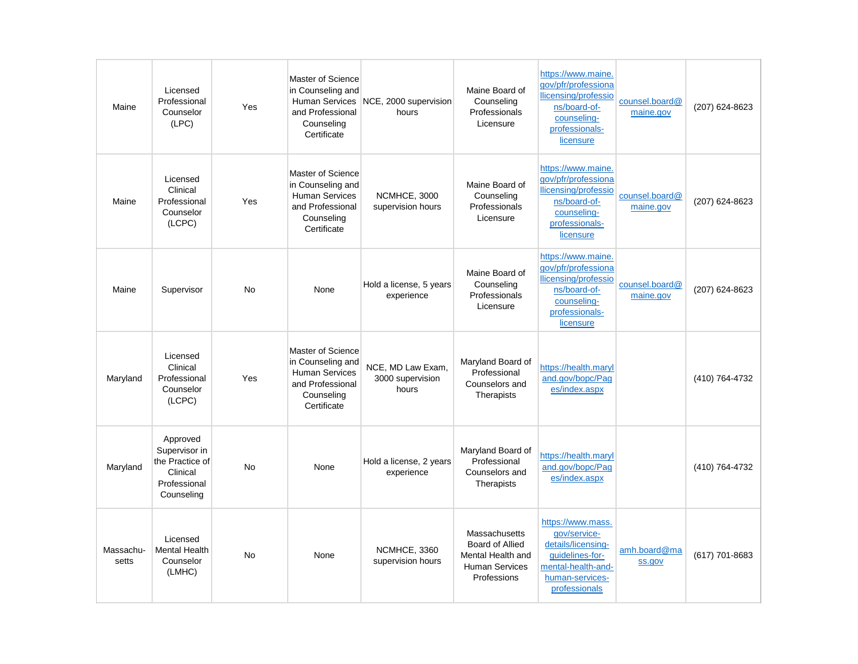| Maine              | Licensed<br>Professional<br>Counselor<br>(LPC)                                         | Yes       | Master of Science<br>in Counseling and<br>and Professional<br>Counseling<br>Certificate                          | Human Services NCE, 2000 supervision<br>hours  | Maine Board of<br>Counseling<br>Professionals<br>Licensure                                           | https://www.maine.<br>qov/pfr/professiona<br>llicensing/professio<br>ns/board-of-<br>counseling-<br>professionals-<br>licensure      | counsel.board@<br>maine.gov | (207) 624-8623 |
|--------------------|----------------------------------------------------------------------------------------|-----------|------------------------------------------------------------------------------------------------------------------|------------------------------------------------|------------------------------------------------------------------------------------------------------|--------------------------------------------------------------------------------------------------------------------------------------|-----------------------------|----------------|
| Maine              | Licensed<br>Clinical<br>Professional<br>Counselor<br>(LCPC)                            | Yes       | Master of Science<br>in Counseling and<br><b>Human Services</b><br>and Professional<br>Counseling<br>Certificate | NCMHCE, 3000<br>supervision hours              | Maine Board of<br>Counseling<br>Professionals<br>Licensure                                           | https://www.maine.<br>qov/pfr/professiona<br>llicensing/professio<br>ns/board-of-<br>counseling-<br>professionals-<br>licensure      | counsel.board@<br>maine.gov | (207) 624-8623 |
| Maine              | Supervisor                                                                             | <b>No</b> | None                                                                                                             | Hold a license, 5 years<br>experience          | Maine Board of<br>Counselina<br>Professionals<br>Licensure                                           | https://www.maine.<br>gov/pfr/professiona<br>llicensing/professio<br>ns/board-of-<br>counseling-<br>professionals-<br>licensure      | counsel.board@<br>maine.gov | (207) 624-8623 |
| Maryland           | Licensed<br>Clinical<br>Professional<br>Counselor<br>(LCPC)                            | Yes       | Master of Science<br>in Counseling and<br><b>Human Services</b><br>and Professional<br>Counseling<br>Certificate | NCE, MD Law Exam,<br>3000 supervision<br>hours | Maryland Board of<br>Professional<br>Counselors and<br>Therapists                                    | https://health.maryl<br>and.gov/bopc/Pag<br>es/index.aspx                                                                            |                             | (410) 764-4732 |
| Maryland           | Approved<br>Supervisor in<br>the Practice of<br>Clinical<br>Professional<br>Counseling | <b>No</b> | None                                                                                                             | Hold a license, 2 years<br>experience          | Maryland Board of<br>Professional<br>Counselors and<br>Therapists                                    | https://health.maryl<br>and.gov/bopc/Pag<br>es/index.aspx                                                                            |                             | (410) 764-4732 |
| Massachu-<br>setts | Licensed<br><b>Mental Health</b><br>Counselor<br>(LMHC)                                | <b>No</b> | None                                                                                                             | NCMHCE, 3360<br>supervision hours              | Massachusetts<br><b>Board of Allied</b><br>Mental Health and<br><b>Human Services</b><br>Professions | https://www.mass.<br>gov/service-<br>details/licensing-<br>quidelines-for-<br>mental-health-and-<br>human-services-<br>professionals | amh.board@ma<br>ss.gov      | (617) 701-8683 |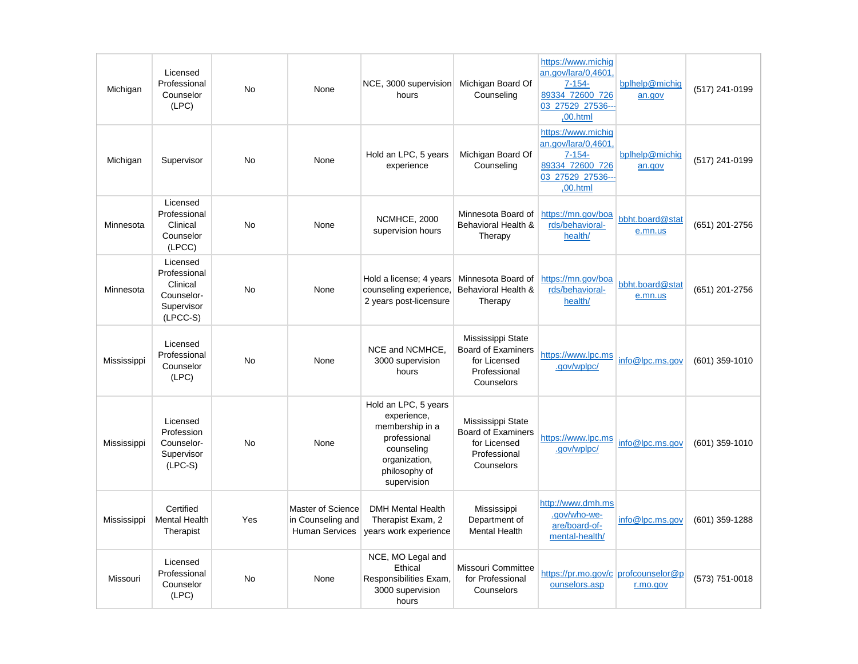| Michigan    | Licensed<br>Professional<br>Counselor<br>(LPC)                                 | No        | None                                                            | NCE, 3000 supervision<br>hours                                                                                                        | Michigan Board Of<br>Counseling                                                              | https://www.michig<br>an.gov/lara/0.4601.<br>$7 - 154 -$<br>89334 72600 726<br>03 27529 27536---<br>,00.html | bplhelp@michig<br>an.gov   | (517) 241-0199 |
|-------------|--------------------------------------------------------------------------------|-----------|-----------------------------------------------------------------|---------------------------------------------------------------------------------------------------------------------------------------|----------------------------------------------------------------------------------------------|--------------------------------------------------------------------------------------------------------------|----------------------------|----------------|
| Michigan    | Supervisor                                                                     | <b>No</b> | None                                                            | Hold an LPC, 5 years<br>experience                                                                                                    | Michigan Board Of<br>Counseling                                                              | https://www.michig<br>an.gov/lara/0,4601<br>$7 - 154 -$<br>89334_72600_726<br>03 27529 27536-<br>,00.html    | bplhelp@michig<br>an.gov   | (517) 241-0199 |
| Minnesota   | Licensed<br>Professional<br>Clinical<br>Counselor<br>(LPCC)                    | <b>No</b> | None                                                            | NCMHCE, 2000<br>supervision hours                                                                                                     | Minnesota Board of<br>Behavioral Health &<br>Therapy                                         | https://mn.gov/boa<br>rds/behavioral-<br>health/                                                             | bbht.board@stat<br>e.mn.us | (651) 201-2756 |
| Minnesota   | Licensed<br>Professional<br>Clinical<br>Counselor-<br>Supervisor<br>$(LPCC-S)$ | <b>No</b> | None                                                            | Hold a license; 4 years<br>counseling experience,<br>2 years post-licensure                                                           | Minnesota Board of<br>Behavioral Health &<br>Therapy                                         | https://mn.gov/boa<br>rds/behavioral-<br>health/                                                             | bbht.board@stat<br>e.mn.us | (651) 201-2756 |
| Mississippi | Licensed<br>Professional<br>Counselor<br>(LPC)                                 | <b>No</b> | None                                                            | NCE and NCMHCE,<br>3000 supervision<br>hours                                                                                          | Mississippi State<br><b>Board of Examiners</b><br>for Licensed<br>Professional<br>Counselors | https://www.lpc.ms<br>.gov/wplpc/                                                                            | info@lpc.ms.gov            | (601) 359-1010 |
| Mississippi | Licensed<br>Profession<br>Counselor-<br>Supervisor<br>$(LPC-S)$                | No        | None                                                            | Hold an LPC, 5 years<br>experience,<br>membership in a<br>professional<br>counseling<br>organization,<br>philosophy of<br>supervision | Mississippi State<br><b>Board of Examiners</b><br>for Licensed<br>Professional<br>Counselors | https://www.lpc.ms<br>.gov/wplpc/                                                                            | info@lpc.ms.gov            | (601) 359-1010 |
| Mississippi | Certified<br><b>Mental Health</b><br>Therapist                                 | Yes       | Master of Science<br>in Counseling and<br><b>Human Services</b> | <b>DMH Mental Health</b><br>Therapist Exam, 2<br>years work experience                                                                | Mississippi<br>Department of<br><b>Mental Health</b>                                         | http://www.dmh.ms<br>.gov/who-we-<br>are/board-of-<br>mental-health/                                         | info@lpc.ms.gov            | (601) 359-1288 |
| Missouri    | Licensed<br>Professional<br>Counselor<br>(LPC)                                 | No        | None                                                            | NCE, MO Legal and<br>Ethical<br>Responsibilities Exam.<br>3000 supervision<br>hours                                                   | <b>Missouri Committee</b><br>for Professional<br>Counselors                                  | https://pr.mo.gov/c profcounselor@p<br>ounselors.asp                                                         | r.mo.gov                   | (573) 751-0018 |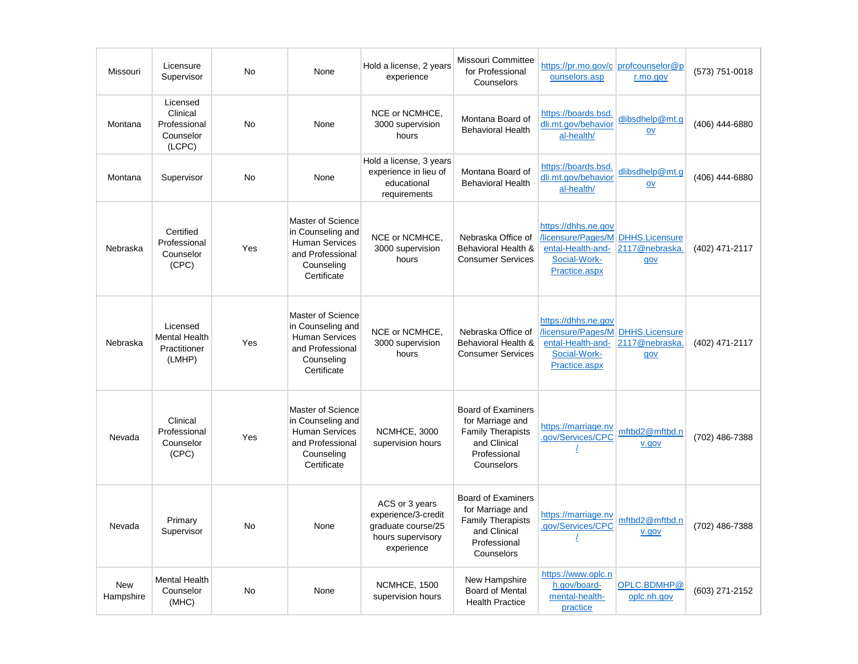| Missouri                | Licensure<br>Supervisor                                     | <b>No</b> | None                                                                                                                    | Hold a license, 2 years<br>experience                                                          | Missouri Committee<br>for Professional<br>Counselors                                                                    | https://pr.mo.gov/c profcounselor@p<br>ounselors.asp                                                                  | r.mo.gov                                       | (573) 751-0018 |
|-------------------------|-------------------------------------------------------------|-----------|-------------------------------------------------------------------------------------------------------------------------|------------------------------------------------------------------------------------------------|-------------------------------------------------------------------------------------------------------------------------|-----------------------------------------------------------------------------------------------------------------------|------------------------------------------------|----------------|
| Montana                 | Licensed<br>Clinical<br>Professional<br>Counselor<br>(LCPC) | <b>No</b> | None                                                                                                                    | NCE or NCMHCE,<br>3000 supervision<br>hours                                                    | Montana Board of<br><b>Behavioral Health</b>                                                                            | https://boards.bsd.<br>dli.mt.gov/behavior<br>al-health/                                                              | dlibsdhelp@mt.g<br>OV                          | (406) 444-6880 |
| Montana                 | Supervisor                                                  | <b>No</b> | None                                                                                                                    | Hold a license, 3 years<br>experience in lieu of<br>educational<br>requirements                | Montana Board of<br><b>Behavioral Health</b>                                                                            | https://boards.bsd.<br>dli.mt.gov/behavior<br>al-health/                                                              | dlibsdhelp@mt.g<br>OV                          | (406) 444-6880 |
| Nebraska                | Certified<br>Professional<br>Counselor<br>(CPC)             | Yes       | Master of Science<br>in Counseling and<br><b>Human Services</b><br>and Professional<br>Counseling<br>Certificate        | NCE or NCMHCE.<br>3000 supervision<br>hours                                                    | Nebraska Office of<br>Behavioral Health &<br><b>Consumer Services</b>                                                   | https://dhhs.ne.gov<br>/licensure/Pages/M<br>ental-Health-and-<br>Social-Work-<br>Practice.aspx                       | <b>DHHS.Licensure</b><br>2117@nebraska.<br>gov | (402) 471-2117 |
| Nebraska                | Licensed<br><b>Mental Health</b><br>Practitioner<br>(LMHP)  | Yes       | <b>Master of Science</b><br>in Counseling and<br><b>Human Services</b><br>and Professional<br>Counseling<br>Certificate | NCE or NCMHCE,<br>3000 supervision<br>hours                                                    | Nebraska Office of<br>Behavioral Health &<br><b>Consumer Services</b>                                                   | https://dhhs.ne.gov<br><b>/licensure/Pages/M DHHS.Licensure</b><br>ental-Health-and-<br>Social-Work-<br>Practice.aspx | 2117@nebraska.<br>gov                          | (402) 471-2117 |
| Nevada                  | Clinical<br>Professional<br>Counselor<br>(CPC)              | Yes       | Master of Science<br>in Counseling and<br><b>Human Services</b><br>and Professional<br>Counseling<br>Certificate        | <b>NCMHCE, 3000</b><br>supervision hours                                                       | <b>Board of Examiners</b><br>for Marriage and<br><b>Family Therapists</b><br>and Clinical<br>Professional<br>Counselors | https://marriage.nv<br>.gov/Services/CPC                                                                              | mftbd2@mftbd.n<br>v.gov                        | (702) 486-7388 |
| Nevada                  | Primary<br>Supervisor                                       | <b>No</b> | None                                                                                                                    | ACS or 3 years<br>experience/3-credit<br>graduate course/25<br>hours supervisory<br>experience | <b>Board of Examiners</b><br>for Marriage and<br><b>Family Therapists</b><br>and Clinical<br>Professional<br>Counselors | https://marriage.nv<br>.gov/Services/CPC                                                                              | mftbd2@mftbd.n<br>v.gov                        | (702) 486-7388 |
| <b>New</b><br>Hampshire | <b>Mental Health</b><br>Counselor<br>(MHC)                  | <b>No</b> | None                                                                                                                    | NCMHCE, 1500<br>supervision hours                                                              | New Hampshire<br><b>Board of Mental</b><br><b>Health Practice</b>                                                       | https://www.oplc.n<br>h.gov/board-<br>mental-health-<br>practice                                                      | OPLC.BDMHP@<br>oplc.nh.gov                     | (603) 271-2152 |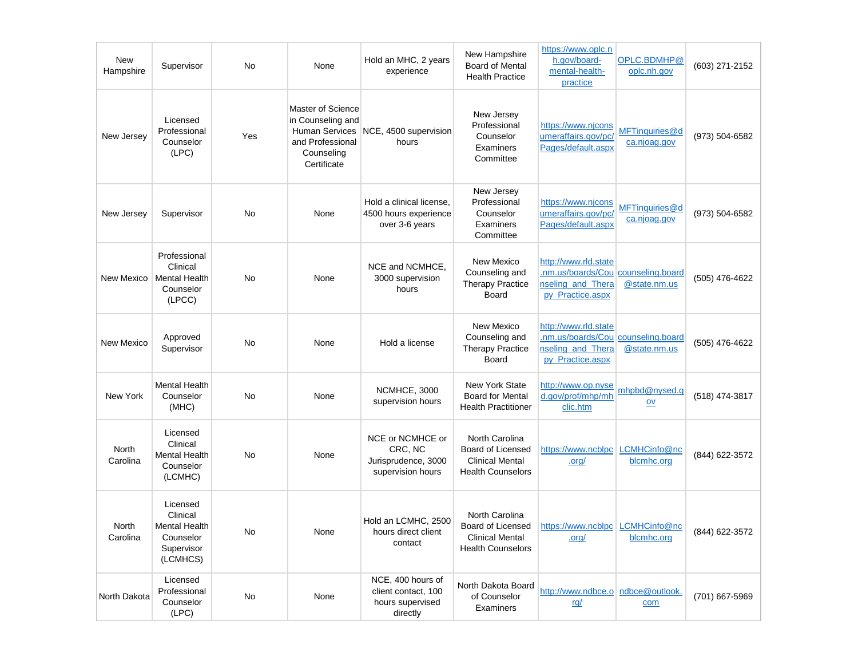| <b>New</b><br>Hampshire | Supervisor                                                                   | No  | None                                                                                                      | Hold an MHC, 2 years<br>experience                                       | New Hampshire<br><b>Board of Mental</b><br><b>Health Practice</b>                         | https://www.oplc.n<br>h.gov/board-<br>mental-health-<br>practice                                    | OPLC.BDMHP@<br>oplc.nh.gov     | (603) 271-2152 |
|-------------------------|------------------------------------------------------------------------------|-----|-----------------------------------------------------------------------------------------------------------|--------------------------------------------------------------------------|-------------------------------------------------------------------------------------------|-----------------------------------------------------------------------------------------------------|--------------------------------|----------------|
| New Jersey              | Licensed<br>Professional<br>Counselor<br>(LPC)                               | Yes | Master of Science<br>in Counseling and<br>Human Services<br>and Professional<br>Counseling<br>Certificate | NCE, 4500 supervision<br>hours                                           | New Jersey<br>Professional<br>Counselor<br>Examiners<br>Committee                         | https://www.njcons<br>umeraffairs.gov/pc/<br>Pages/default.aspx                                     | MFTinquiries@d<br>ca.njoag.gov | (973) 504-6582 |
| New Jersey              | Supervisor                                                                   | No  | None                                                                                                      | Hold a clinical license,<br>4500 hours experience<br>over 3-6 years      | New Jersey<br>Professional<br>Counselor<br>Examiners<br>Committee                         | https://www.njcons<br>umeraffairs.gov/pc/<br>Pages/default.aspx                                     | MFTinquiries@d<br>ca.njoag.gov | (973) 504-6582 |
| New Mexico              | Professional<br>Clinical<br><b>Mental Health</b><br>Counselor<br>(LPCC)      | No  | None                                                                                                      | NCE and NCMHCE,<br>3000 supervision<br>hours                             | New Mexico<br>Counseling and<br><b>Therapy Practice</b><br>Board                          | http://www.rld.state<br>.nm.us/boards/Cou counseling.board<br>nseling and Thera<br>py_Practice.aspx | @state.nm.us                   | (505) 476-4622 |
| New Mexico              | Approved<br>Supervisor                                                       | No  | None                                                                                                      | Hold a license                                                           | New Mexico<br>Counseling and<br><b>Therapy Practice</b><br>Board                          | http://www.rld.state<br>.nm.us/boards/Cou counseling.board<br>nseling_and_Thera<br>py_Practice.aspx | @state.nm.us                   | (505) 476-4622 |
| New York                | <b>Mental Health</b><br>Counselor<br>(MHC)                                   | No  | None                                                                                                      | NCMHCE, 3000<br>supervision hours                                        | <b>New York State</b><br><b>Board for Mental</b><br><b>Health Practitioner</b>            | http://www.op.nyse<br>d.gov/prof/mhp/mh<br>clic.htm                                                 | mhpbd@nysed.g<br>$ov$          | (518) 474-3817 |
| North<br>Carolina       | Licensed<br>Clinical<br><b>Mental Health</b><br>Counselor<br>(LCMHC)         | No  | None                                                                                                      | NCE or NCMHCE or<br>CRC, NC<br>Jurisprudence, 3000<br>supervision hours  | North Carolina<br>Board of Licensed<br><b>Clinical Mental</b><br><b>Health Counselors</b> | https://www.ncblpc<br>.org/                                                                         | LCMHCinfo@nc<br>blcmhc.org     | (844) 622-3572 |
| North<br>Carolina       | Licensed<br>Clinical<br>Mental Health<br>Counselor<br>Supervisor<br>(LCMHCS) | No  | None                                                                                                      | Hold an LCMHC, 2500<br>hours direct client<br>contact                    | North Carolina<br><b>Clinical Mental</b><br><b>Health Counselors</b>                      | Board of Licensed   https://www.ncblpc   LCMHCinfo@nc<br>.org/                                      | blcmhc.org                     | (844) 622-3572 |
| North Dakota            | Licensed<br>Professional<br>Counselor<br>(LPC)                               | No  | None                                                                                                      | NCE, 400 hours of<br>client contact, 100<br>hours supervised<br>directly | North Dakota Board<br>of Counselor<br>Examiners                                           | http://www.ndbce.o ndbce@outlook.<br><u>rg/</u>                                                     | com                            | (701) 667-5969 |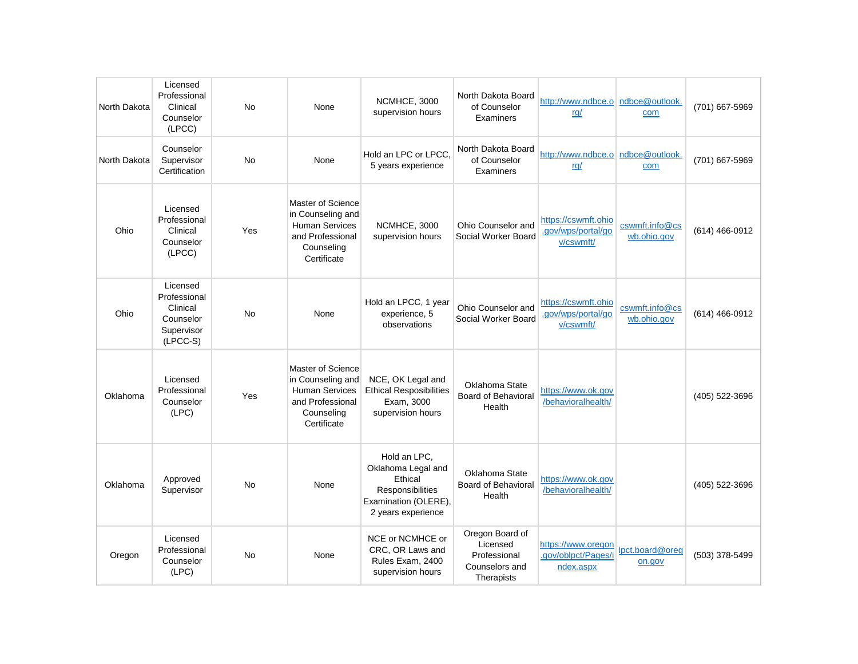| North Dakota | Licensed<br>Professional<br>Clinical<br>Counselor<br>(LPCC)                   | <b>No</b> | None                                                                                                             | NCMHCE, 3000<br>supervision hours                                                                               | North Dakota Board<br>of Counselor<br>Examiners                             | http://www.ndbce.o ndbce@outlook.<br>rq/               | com                           | (701) 667-5969 |
|--------------|-------------------------------------------------------------------------------|-----------|------------------------------------------------------------------------------------------------------------------|-----------------------------------------------------------------------------------------------------------------|-----------------------------------------------------------------------------|--------------------------------------------------------|-------------------------------|----------------|
| North Dakota | Counselor<br>Supervisor<br>Certification                                      | <b>No</b> | None                                                                                                             | Hold an LPC or LPCC,<br>5 years experience                                                                      | North Dakota Board<br>of Counselor<br>Examiners                             | http://www.ndbce.o ndbce@outlook.<br>rq/               | com                           | (701) 667-5969 |
| Ohio         | Licensed<br>Professional<br>Clinical<br>Counselor<br>(LPCC)                   | Yes       | Master of Science<br>in Counseling and<br><b>Human Services</b><br>and Professional<br>Counseling<br>Certificate | NCMHCE, 3000<br>supervision hours                                                                               | Ohio Counselor and<br>Social Worker Board                                   | https://cswmft.ohio<br>.gov/wps/portal/go<br>v/cswmft/ | cswmft.info@cs<br>wb.ohio.gov | (614) 466-0912 |
| Ohio         | Licensed<br>Professional<br>Clinical<br>Counselor<br>Supervisor<br>$(LPCC-S)$ | <b>No</b> | None                                                                                                             | Hold an LPCC, 1 year<br>experience, 5<br>observations                                                           | Ohio Counselor and<br>Social Worker Board                                   | https://cswmft.ohio<br>.gov/wps/portal/go<br>v/cswmft/ | cswmft.info@cs<br>wb.ohio.gov | (614) 466-0912 |
| Oklahoma     | Licensed<br>Professional<br>Counselor<br>(LPC)                                | Yes       | Master of Science<br>in Counseling and<br><b>Human Services</b><br>and Professional<br>Counseling<br>Certificate | NCE, OK Legal and<br><b>Ethical Resposibilities</b><br>Exam, 3000<br>supervision hours                          | Oklahoma State<br>Board of Behavioral<br>Health                             | https://www.ok.gov<br>/behavioralhealth/               |                               | (405) 522-3696 |
| Oklahoma     | Approved<br>Supervisor                                                        | <b>No</b> | None                                                                                                             | Hold an LPC,<br>Oklahoma Legal and<br>Ethical<br>Responsibilities<br>Examination (OLERE),<br>2 years experience | Oklahoma State<br><b>Board of Behavioral</b><br>Health                      | https://www.ok.gov<br>/behavioralhealth/               |                               | (405) 522-3696 |
| Oregon       | Licensed<br>Professional<br>Counselor<br>(LPC)                                | No        | None                                                                                                             | NCE or NCMHCE or<br>CRC, OR Laws and<br>Rules Exam, 2400<br>supervision hours                                   | Oregon Board of<br>Licensed<br>Professional<br>Counselors and<br>Therapists | https://www.oregon<br>.gov/oblpct/Pages/i<br>ndex.aspx | lpct.board@oreq<br>on.gov     | (503) 378-5499 |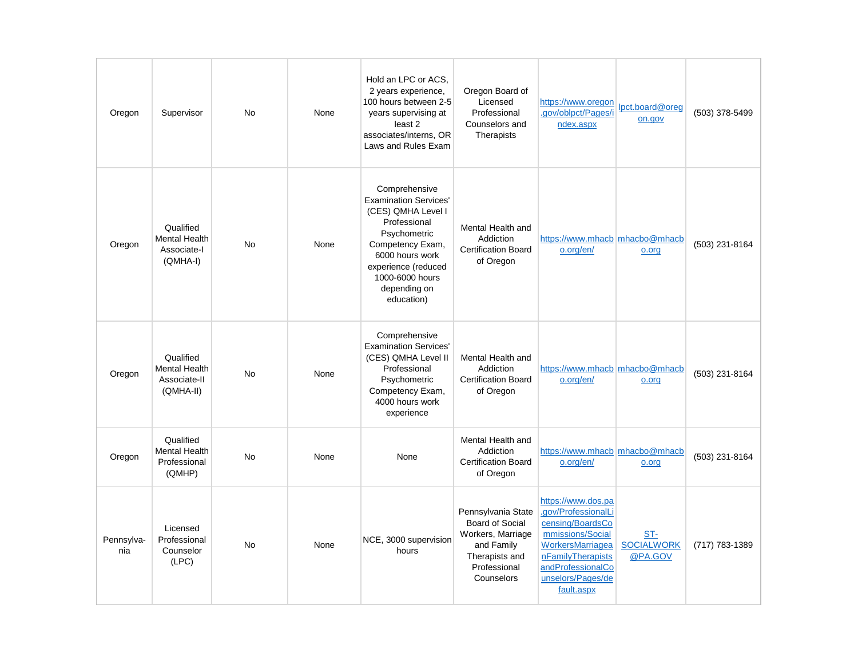| Oregon            | Supervisor                                                     | <b>No</b> | None | Hold an LPC or ACS,<br>2 years experience,<br>100 hours between 2-5<br>years supervising at<br>least 2<br>associates/interns, OR<br>Laws and Rules Exam                                                            | Oregon Board of<br>Licensed<br>Professional<br>Counselors and<br>Therapists                                                     | https://www.oregon<br>.gov/oblpct/Pages/i<br>ndex.aspx                                                                                                                             | lpct.board@oreq<br>on.gov           | (503) 378-5499 |
|-------------------|----------------------------------------------------------------|-----------|------|--------------------------------------------------------------------------------------------------------------------------------------------------------------------------------------------------------------------|---------------------------------------------------------------------------------------------------------------------------------|------------------------------------------------------------------------------------------------------------------------------------------------------------------------------------|-------------------------------------|----------------|
| Oregon            | Qualified<br><b>Mental Health</b><br>Associate-I<br>(QMHA-I)   | <b>No</b> | None | Comprehensive<br><b>Examination Services'</b><br>(CES) QMHA Level I<br>Professional<br>Psychometric<br>Competency Exam,<br>6000 hours work<br>experience (reduced<br>1000-6000 hours<br>depending on<br>education) | Mental Health and<br>Addiction<br><b>Certification Board</b><br>of Oregon                                                       | https://www.mhacb mhacbo@mhacb<br>o.org/en/                                                                                                                                        | o.org                               | (503) 231-8164 |
| Oregon            | Qualified<br><b>Mental Health</b><br>Associate-II<br>(QMHA-II) | <b>No</b> | None | Comprehensive<br><b>Examination Services'</b><br>(CES) QMHA Level II<br>Professional<br>Psychometric<br>Competency Exam,<br>4000 hours work<br>experience                                                          | Mental Health and<br>Addiction<br><b>Certification Board</b><br>of Oregon                                                       | https://www.mhacb_mhacbo@mhacb<br>o.org/en/                                                                                                                                        | o.org                               | (503) 231-8164 |
| Oregon            | Qualified<br><b>Mental Health</b><br>Professional<br>(QMHP)    | <b>No</b> | None | None                                                                                                                                                                                                               | Mental Health and<br>Addiction<br><b>Certification Board</b><br>of Oregon                                                       | https://www.mhacb mhacbo@mhacb<br>o.org/en/                                                                                                                                        | o.org                               | (503) 231-8164 |
| Pennsylva-<br>nia | Licensed<br>Professional<br>Counselor<br>(LPC)                 | <b>No</b> | None | NCE, 3000 supervision<br>hours                                                                                                                                                                                     | Pennsylvania State<br><b>Board of Social</b><br>Workers, Marriage<br>and Family<br>Therapists and<br>Professional<br>Counselors | https://www.dos.pa<br>.gov/ProfessionalLi<br>censing/BoardsCo<br>mmissions/Social<br>WorkersMarriagea<br>nFamilyTherapists<br>andProfessionalCo<br>unselors/Pages/de<br>fault.aspx | ST-<br><b>SOCIALWORK</b><br>@PA.GOV | (717) 783-1389 |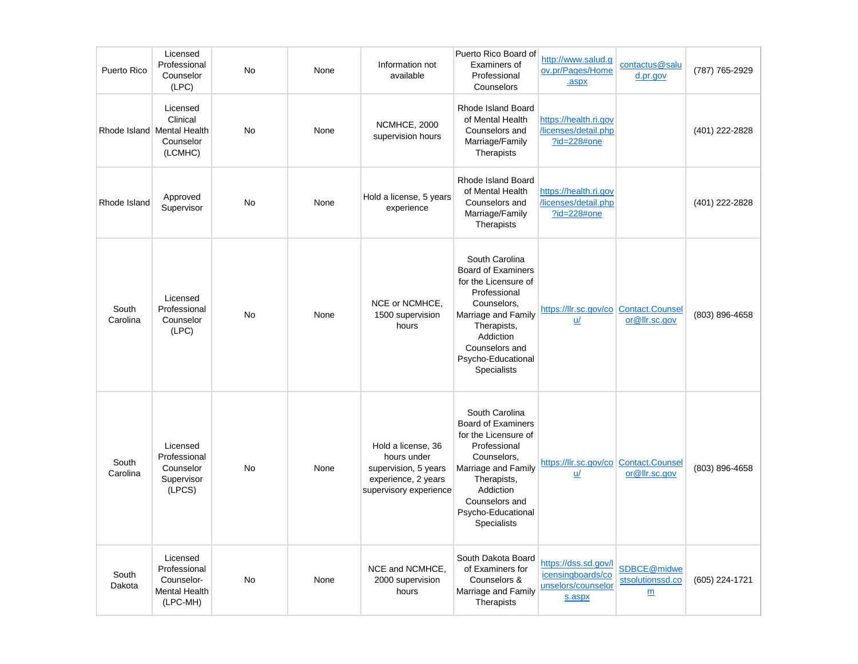| Puerto Rico       | Licensed<br>Professional<br>Counselor<br>(LPC)                             | No        | None | Information not<br>available                                                                               | Puerto Rico Board of<br>Examiners of<br>Professional<br>Counselors                                                                                                                                                  | http://www.salud.g<br>ov.pr/Pages/Home<br>.aspx                           | contactus@salu<br>d.pr.gov           | (787) 765-2929 |
|-------------------|----------------------------------------------------------------------------|-----------|------|------------------------------------------------------------------------------------------------------------|---------------------------------------------------------------------------------------------------------------------------------------------------------------------------------------------------------------------|---------------------------------------------------------------------------|--------------------------------------|----------------|
|                   | Licensed<br>Clinical<br>Rhode Island Mental Health<br>Counselor<br>(LCMHC) | <b>No</b> | None | NCMHCE, 2000<br>supervision hours                                                                          | Rhode Island Board<br>of Mental Health<br>Counselors and<br>Marriage/Family<br>Therapists                                                                                                                           | https://health.ri.gov<br>licenses/detail.php<br>?id=228#one               |                                      | (401) 222-2828 |
| Rhode Island      | Approved<br>Supervisor                                                     | <b>No</b> | None | Hold a license, 5 years<br>experience                                                                      | Rhode Island Board<br>of Mental Health<br>Counselors and<br>Marriage/Family<br>Therapists                                                                                                                           | https://health.ri.gov<br>/licenses/detail.php<br>?id=228#one              |                                      | (401) 222-2828 |
| South<br>Carolina | Licensed<br>Professional<br>Counselor<br>(LPC)                             | No        | None | NCE or NCMHCE,<br>1500 supervision<br>hours                                                                | South Carolina<br><b>Board of Examiners</b><br>for the Licensure of<br>Professional<br>Counselors,<br>Marriage and Family<br>Therapists,<br>Addiction<br>Counselors and<br>Psycho-Educational<br>Specialists        | https://llr.sc.gov/co Contact.Counsel<br>$u$                              | or@llr.sc.gov                        | (803) 896-4658 |
| South<br>Carolina | Licensed<br>Professional<br>Counselor<br>Supervisor<br>(LPCS)              | <b>No</b> | None | Hold a license, 36<br>hours under<br>supervision, 5 years<br>experience, 2 years<br>supervisory experience | South Carolina<br><b>Board of Examiners</b><br>for the Licensure of<br>Professional<br>Counselors,<br>Marriage and Family<br>Therapists,<br>Addiction<br>Counselors and<br>Psycho-Educational<br><b>Specialists</b> | https://llr.sc.gov/co Contact.Counsel<br>u/                               | or@llr.sc.gov                        | (803) 896-4658 |
| South<br>Dakota   | Licensed<br>Professional<br>Counselor-<br><b>Mental Health</b><br>(LPC-MH) | <b>No</b> | None | NCE and NCMHCE,<br>2000 supervision<br>hours                                                               | South Dakota Board<br>of Examiners for<br>Counselors &<br>Marriage and Family<br>Therapists                                                                                                                         | https://dss.sd.gov/l<br>icensingboards/co<br>unselors/counselor<br>s.aspx | SDBCE@midwe<br>stsolutionssd.co<br>m | (605) 224-1721 |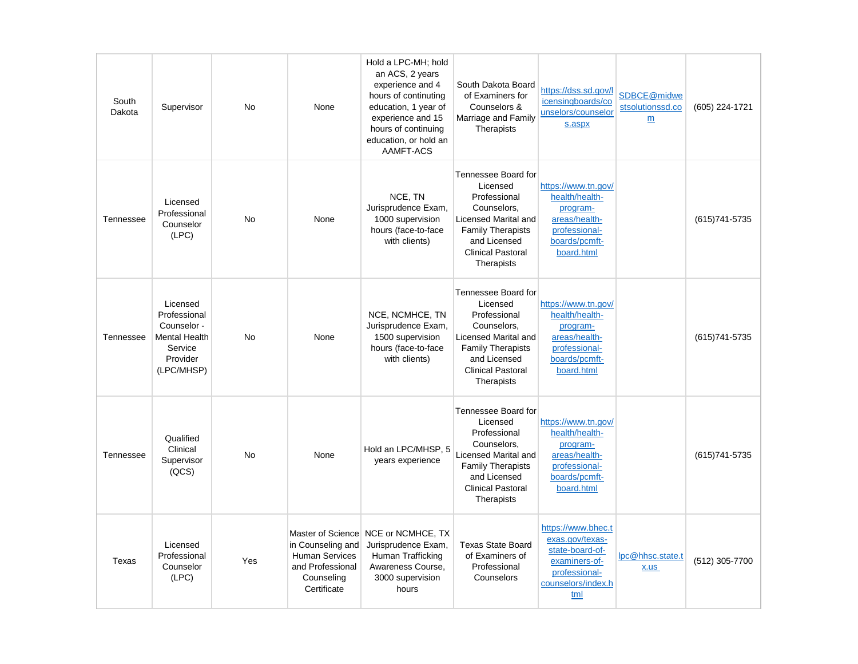| South<br>Dakota | Supervisor                                                                                           | <b>No</b> | None                                                                                        | Hold a LPC-MH; hold<br>an ACS, 2 years<br>experience and 4<br>hours of continuting<br>education, 1 year of<br>experience and 15<br>hours of continuing<br>education, or hold an<br>AAMFT-ACS | South Dakota Board<br>of Examiners for<br>Counselors &<br>Marriage and Family<br>Therapists                                                                                  | https://dss.sd.gov/l<br>icensingboards/co<br>unselors/counselor<br>s.aspx                                               | SDBCE@midwe<br>stsolutionssd.co<br>m | (605) 224-1721 |
|-----------------|------------------------------------------------------------------------------------------------------|-----------|---------------------------------------------------------------------------------------------|----------------------------------------------------------------------------------------------------------------------------------------------------------------------------------------------|------------------------------------------------------------------------------------------------------------------------------------------------------------------------------|-------------------------------------------------------------------------------------------------------------------------|--------------------------------------|----------------|
| Tennessee       | Licensed<br>Professional<br>Counselor<br>(LPC)                                                       | <b>No</b> | None                                                                                        | NCE, TN<br>Jurisprudence Exam,<br>1000 supervision<br>hours (face-to-face<br>with clients)                                                                                                   | Tennessee Board for<br>Licensed<br>Professional<br>Counselors,<br>Licensed Marital and<br><b>Family Therapists</b><br>and Licensed<br><b>Clinical Pastoral</b><br>Therapists | https://www.tn.gov/<br>health/health-<br>program-<br>areas/health-<br>professional-<br>boards/pcmft-<br>board.html      |                                      | (615) 741-5735 |
| Tennessee       | Licensed<br>Professional<br>Counselor -<br><b>Mental Health</b><br>Service<br>Provider<br>(LPC/MHSP) | <b>No</b> | None                                                                                        | NCE, NCMHCE, TN<br>Jurisprudence Exam,<br>1500 supervision<br>hours (face-to-face<br>with clients)                                                                                           | Tennessee Board for<br>Licensed<br>Professional<br>Counselors.<br>Licensed Marital and<br><b>Family Therapists</b><br>and Licensed<br><b>Clinical Pastoral</b><br>Therapists | https://www.tn.gov/<br>health/health-<br>program-<br>areas/health-<br>professional-<br>boards/pcmft-<br>board.html      |                                      | (615) 741-5735 |
| Tennessee       | Qualified<br>Clinical<br>Supervisor<br>(QCS)                                                         | <b>No</b> | None                                                                                        | Hold an LPC/MHSP, 5<br>years experience                                                                                                                                                      | Tennessee Board for<br>Licensed<br>Professional<br>Counselors,<br>Licensed Marital and<br><b>Family Therapists</b><br>and Licensed<br><b>Clinical Pastoral</b><br>Therapists | https://www.tn.gov/<br>health/health-<br>program-<br>areas/health-<br>professional-<br>boards/pcmft-<br>board.html      |                                      | (615) 741-5735 |
| Texas           | Licensed<br>Professional<br>Counselor<br>(LPC)                                                       | Yes       | in Counseling and<br><b>Human Services</b><br>and Professional<br>Counseling<br>Certificate | Master of Science NCE or NCMHCE, TX<br>Jurisprudence Exam,<br>Human Trafficking<br>Awareness Course,<br>3000 supervision<br>hours                                                            | <b>Texas State Board</b><br>of Examiners of<br>Professional<br>Counselors                                                                                                    | https://www.bhec.t<br>exas.gov/texas-<br>state-board-of-<br>examiners-of-<br>professional-<br>counselors/index.h<br>tml | lpc@hhsc.state.t<br>x.us             | (512) 305-7700 |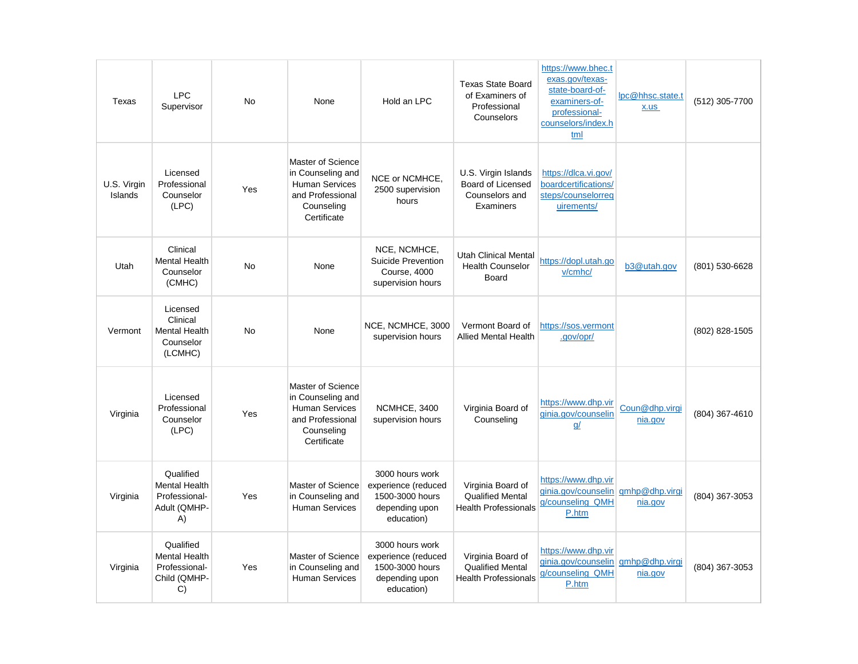| Texas                  | <b>LPC</b><br>Supervisor                                                 | No        | None                                                                                                             | Hold an LPC                                                                               | <b>Texas State Board</b><br>of Examiners of<br>Professional<br>Counselors      | https://www.bhec.t<br>exas.gov/texas-<br>state-board-of-<br>examiners-of-<br>professional-<br>counselors/index.h<br>tml | lpc@hhsc.state.t<br>x.us  | (512) 305-7700 |
|------------------------|--------------------------------------------------------------------------|-----------|------------------------------------------------------------------------------------------------------------------|-------------------------------------------------------------------------------------------|--------------------------------------------------------------------------------|-------------------------------------------------------------------------------------------------------------------------|---------------------------|----------------|
| U.S. Virgin<br>Islands | Licensed<br>Professional<br>Counselor<br>(LPC)                           | Yes       | Master of Science<br>in Counseling and<br><b>Human Services</b><br>and Professional<br>Counseling<br>Certificate | NCE or NCMHCE,<br>2500 supervision<br>hours                                               | U.S. Virgin Islands<br><b>Board of Licensed</b><br>Counselors and<br>Examiners | https://dlca.vi.gov/<br>boardcertifications/<br>steps/counselorreg<br>uirements/                                        |                           |                |
| Utah                   | Clinical<br><b>Mental Health</b><br>Counselor<br>(CMHC)                  | <b>No</b> | None                                                                                                             | NCE, NCMHCE,<br>Suicide Prevention<br>Course, 4000<br>supervision hours                   | <b>Utah Clinical Mental</b><br><b>Health Counselor</b><br><b>Board</b>         | https://dopl.utah.go<br>v/cmhc/                                                                                         | b3@utah.gov               | (801) 530-6628 |
| Vermont                | Licensed<br>Clinical<br><b>Mental Health</b><br>Counselor<br>(LCMHC)     | <b>No</b> | None                                                                                                             | NCE, NCMHCE, 3000<br>supervision hours                                                    | Vermont Board of<br><b>Allied Mental Health</b>                                | https://sos.vermont<br>.gov/opr/                                                                                        |                           | (802) 828-1505 |
| Virginia               | Licensed<br>Professional<br>Counselor<br>(LPC)                           | Yes       | Master of Science<br>in Counseling and<br><b>Human Services</b><br>and Professional<br>Counseling<br>Certificate | NCMHCE, 3400<br>supervision hours                                                         | Virginia Board of<br>Counseling                                                | https://www.dhp.vir<br>ginia.gov/counselin<br><u>q/</u>                                                                 | Coun@dhp.virgi<br>nia.gov | (804) 367-4610 |
| Virginia               | Qualified<br><b>Mental Health</b><br>Professional-<br>Adult (QMHP-<br>A) | Yes       | Master of Science<br>in Counseling and<br><b>Human Services</b>                                                  | 3000 hours work<br>experience (reduced<br>1500-3000 hours<br>depending upon<br>education) | Virginia Board of<br><b>Qualified Mental</b><br><b>Health Professionals</b>    | https://www.dhp.vir<br>ginia.gov/counselin<br>g/counseling QMH<br>P.htm                                                 | gmhp@dhp.virgi<br>nia.gov | (804) 367-3053 |
| Virginia               | Qualified<br><b>Mental Health</b><br>Professional-<br>Child (QMHP-<br>C) | Yes       | Master of Science<br>in Counseling and<br><b>Human Services</b>                                                  | 3000 hours work<br>experience (reduced<br>1500-3000 hours<br>depending upon<br>education) | Virginia Board of<br><b>Qualified Mental</b><br><b>Health Professionals</b>    | https://www.dhp.vir<br>ginia.gov/counselin<br>g/counseling_QMH<br>P.htm                                                 | gmhp@dhp.virgi<br>nia.gov | (804) 367-3053 |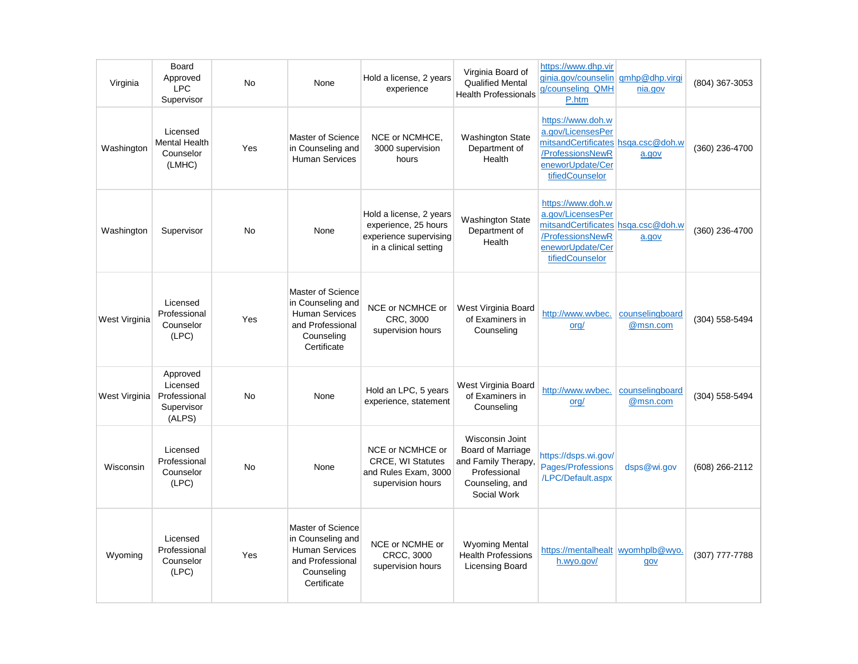| Virginia      | Board<br>Approved<br><b>LPC</b><br>Supervisor                | <b>No</b> | None                                                                                                             | Hold a license, 2 years<br>experience                                                              | Virginia Board of<br><b>Qualified Mental</b><br><b>Health Professionals</b>                                          | https://www.dhp.vir<br>ginia.gov/counselin gmhp@dhp.virgi<br>g/counseling QMH<br>P.htm                                                  | nia.gov                     | (804) 367-3053 |
|---------------|--------------------------------------------------------------|-----------|------------------------------------------------------------------------------------------------------------------|----------------------------------------------------------------------------------------------------|----------------------------------------------------------------------------------------------------------------------|-----------------------------------------------------------------------------------------------------------------------------------------|-----------------------------|----------------|
| Washington    | Licensed<br><b>Mental Health</b><br>Counselor<br>(LMHC)      | Yes       | Master of Science<br>in Counseling and<br><b>Human Services</b>                                                  | NCE or NCMHCE,<br>3000 supervision<br>hours                                                        | <b>Washington State</b><br>Department of<br>Health                                                                   | https://www.doh.w<br>a.gov/LicensesPer<br>mitsandCertificates hsga.csc@doh.w<br>/ProfessionsNewR<br>eneworUpdate/Cer<br>tifiedCounselor | a.gov                       | (360) 236-4700 |
| Washington    | Supervisor                                                   | No        | None                                                                                                             | Hold a license, 2 years<br>experience, 25 hours<br>experience supervising<br>in a clinical setting | <b>Washington State</b><br>Department of<br>Health                                                                   | https://www.doh.w<br>a.gov/LicensesPer<br>mitsandCertificates hsqa.csc@doh.w<br>/ProfessionsNewR<br>eneworUpdate/Cer<br>tifiedCounselor | a.gov                       | (360) 236-4700 |
| West Virginia | Licensed<br>Professional<br>Counselor<br>(LPC)               | Yes       | Master of Science<br>in Counseling and<br><b>Human Services</b><br>and Professional<br>Counseling<br>Certificate | NCE or NCMHCE or<br>CRC, 3000<br>supervision hours                                                 | West Virginia Board<br>of Examiners in<br>Counseling                                                                 | http://www.wvbec.<br>ord/                                                                                                               | counselingboard<br>@msn.com | (304) 558-5494 |
| West Virginia | Approved<br>Licensed<br>Professional<br>Supervisor<br>(ALPS) | <b>No</b> | None                                                                                                             | Hold an LPC, 5 years<br>experience, statement                                                      | West Virginia Board<br>of Examiners in<br>Counseling                                                                 | http://www.wvbec.<br>org/                                                                                                               | counselingboard<br>@msn.com | (304) 558-5494 |
| Wisconsin     | Licensed<br>Professional<br>Counselor<br>(LPC)               | No        | None                                                                                                             | NCE or NCMHCE or<br><b>CRCE, WI Statutes</b><br>and Rules Exam, 3000<br>supervision hours          | Wisconsin Joint<br><b>Board of Marriage</b><br>and Family Therapy,<br>Professional<br>Counseling, and<br>Social Work | https://dsps.wi.gov/<br>Pages/Professions<br>/LPC/Default.aspx                                                                          | dsps@wi.gov                 | (608) 266-2112 |
| Wyoming       | Licensed<br>Professional<br>Counselor<br>(LPC)               | Yes       | Master of Science<br>in Counseling and<br><b>Human Services</b><br>and Professional<br>Counseling<br>Certificate | NCE or NCMHE or<br><b>CRCC, 3000</b><br>supervision hours                                          | <b>Wyoming Mental</b><br><b>Health Professions</b><br>Licensing Board                                                | https://mentalhealt wyomhplb@wyo.<br>h.wyo.gov/                                                                                         | gov                         | (307) 777-7788 |